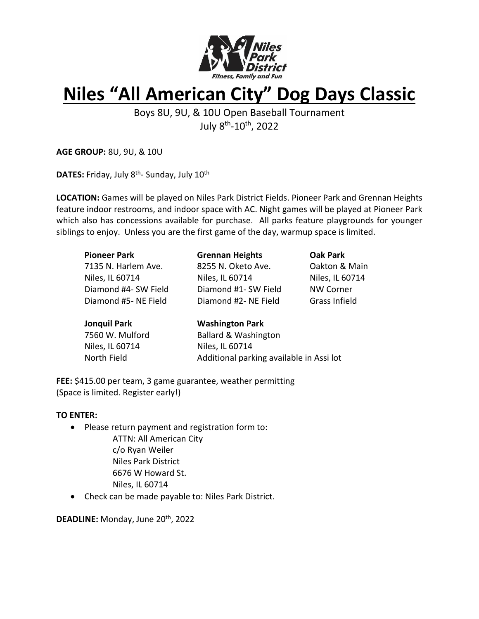

# **Niles "All American City" Dog Days Classic**

Boys 8U, 9U, & 10U Open Baseball Tournament July 8<sup>th</sup>-10<sup>th</sup>, 2022

**AGE GROUP:** 8U, 9U, & 10U

**DATES:** Friday, July 8<sup>th</sup>- Sunday, July 10<sup>th</sup>

**LOCATION:** Games will be played on Niles Park District Fields. Pioneer Park and Grennan Heights feature indoor restrooms, and indoor space with AC. Night games will be played at Pioneer Park which also has concessions available for purchase. All parks feature playgrounds for younger siblings to enjoy. Unless you are the first game of the day, warmup space is limited.

| <b>Pioneer Park</b>                 | <b>Grennan Heights</b>                                                                                         | <b>Oak Park</b>  |  |
|-------------------------------------|----------------------------------------------------------------------------------------------------------------|------------------|--|
| 7135 N. Harlem Ave.                 | 8255 N. Oketo Ave.                                                                                             | Oakton & Main    |  |
| Niles, IL 60714                     | Niles, IL 60714                                                                                                | Niles, IL 60714  |  |
| Diamond #4- SW Field                | Diamond #1- SW Field                                                                                           | <b>NW Corner</b> |  |
| Diamond #5- NE Field                | Diamond #2- NE Field                                                                                           | Grass Infield    |  |
| the concentration in the collection | Material de característica de la contextual de la contextual de la contextual de la contextual de la contextua |                  |  |

| Jonquil Park    | <b>Washington Park</b>                   |  |  |
|-----------------|------------------------------------------|--|--|
| 7560 W. Mulford | <b>Ballard &amp; Washington</b>          |  |  |
| Niles, IL 60714 | Niles, IL 60714                          |  |  |
| North Field     | Additional parking available in Assi lot |  |  |
|                 |                                          |  |  |

**FEE:** \$415.00 per team, 3 game guarantee, weather permitting (Space is limited. Register early!)

#### **TO ENTER:**

- Please return payment and registration form to:
	- ATTN: All American City c/o Ryan Weiler Niles Park District 6676 W Howard St. Niles, IL 60714
- Check can be made payable to: Niles Park District.

DEADLINE: Monday, June 20<sup>th</sup>, 2022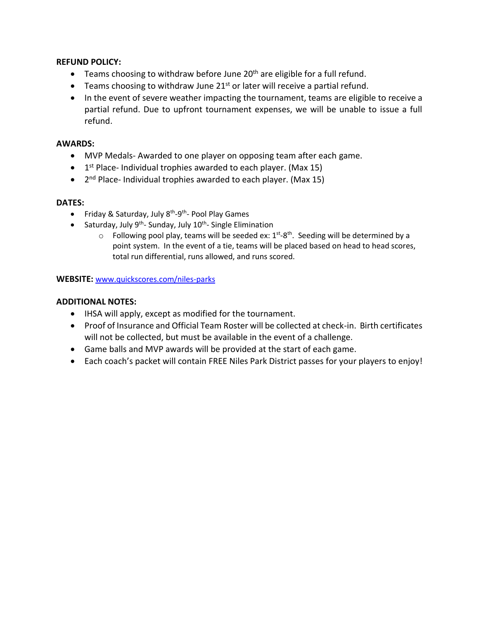#### **REFUND POLICY:**

- Teams choosing to withdraw before June  $20<sup>th</sup>$  are eligible for a full refund.
- $\bullet$  Teams choosing to withdraw June 21<sup>st</sup> or later will receive a partial refund.
- In the event of severe weather impacting the tournament, teams are eligible to receive a partial refund. Due to upfront tournament expenses, we will be unable to issue a full refund.

#### **AWARDS:**

- MVP Medals- Awarded to one player on opposing team after each game.
- 1<sup>st</sup> Place- Individual trophies awarded to each player. (Max 15)
- 2<sup>nd</sup> Place- Individual trophies awarded to each player. (Max 15)

# **DATES:**

- Friday & Saturday, July 8<sup>th</sup>-9<sup>th</sup>- Pool Play Games
- Saturday, July 9<sup>th</sup>-Sunday, July 10<sup>th</sup>-Single Elimination
	- $\circ$  Following pool play, teams will be seeded ex:  $1^{st}$ -8<sup>th</sup>. Seeding will be determined by a point system. In the event of a tie, teams will be placed based on head to head scores, total run differential, runs allowed, and runs scored.

# **WEBSITE:** [www.quickscores.com/niles-parks](http://www.quickscores.com/niles-parks)

# **ADDITIONAL NOTES:**

- IHSA will apply, except as modified for the tournament.
- Proof of Insurance and Official Team Roster will be collected at check-in. Birth certificates will not be collected, but must be available in the event of a challenge.
- Game balls and MVP awards will be provided at the start of each game.
- Each coach's packet will contain FREE Niles Park District passes for your players to enjoy!